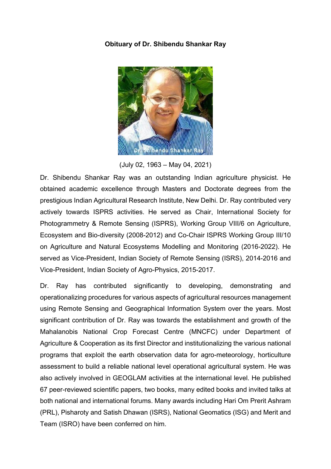## **Obituary of Dr. Shibendu Shankar Ray**



(July 02, 1963 – May 04, 2021)

Dr. Shibendu Shankar Ray was an outstanding Indian agriculture physicist. He obtained academic excellence through Masters and Doctorate degrees from the prestigious Indian Agricultural Research Institute, New Delhi. Dr. Ray contributed very actively towards ISPRS activities. He served as Chair, International Society for Photogrammetry & Remote Sensing (ISPRS), Working Group VIII/6 on Agriculture, Ecosystem and Bio-diversity (2008-2012) and Co-Chair ISPRS Working Group III/10 on Agriculture and Natural Ecosystems Modelling and Monitoring (2016-2022). He served as Vice-President, Indian Society of Remote Sensing (ISRS), 2014-2016 and Vice-President, Indian Society of Agro-Physics, 2015-2017.

Dr. Ray has contributed significantly to developing, demonstrating and operationalizing procedures for various aspects of agricultural resources management using Remote Sensing and Geographical Information System over the years. Most significant contribution of Dr. Ray was towards the establishment and growth of the Mahalanobis National Crop Forecast Centre (MNCFC) under Department of Agriculture & Cooperation as its first Director and institutionalizing the various national programs that exploit the earth observation data for agro-meteorology, horticulture assessment to build a reliable national level operational agricultural system. He was also actively involved in GEOGLAM activities at the international level. He published 67 peer-reviewed scientific papers, two books, many edited books and invited talks at both national and international forums. Many awards including Hari Om Prerit Ashram (PRL), Pisharoty and Satish Dhawan (ISRS), National Geomatics (ISG) and Merit and Team (ISRO) have been conferred on him.